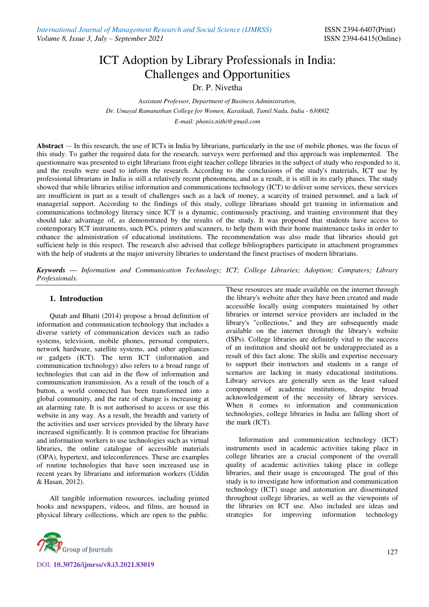# ICT Adoption by Library Professionals in India: Challenges and Opportunities

Dr. P. Nivetha

*Assistant Professor, Department of Business Administration, Dr. Umayal Ramanathan College for Women, Karaikudi, Tamil Nadu, India - 630002 E-mail: phonix.nithi@gmail.com* 

**Abstract** — In this research, the use of ICTs in India by librarians, particularly in the use of mobile phones, was the focus of this study. To gather the required data for the research, surveys were performed and this approach was implemented. The questionnaire was presented to eight librarians from eight teacher college libraries in the subject of study who responded to it, and the results were used to inform the research. According to the conclusions of the study's materials, ICT use by professional librarians in India is still a relatively recent phenomena, and as a result, it is still in its early phases. The study showed that while libraries utilise information and communications technology (ICT) to deliver some services, these services are insufficient in part as a result of challenges such as a lack of money, a scarcity of trained personnel, and a lack of managerial support. According to the findings of this study, college librarians should get training in information and communications technology literacy since ICT is a dynamic, continuously practising, and training environment that they should take advantage of, as demonstrated by the results of the study. It was proposed that students have access to contemporary ICT instruments, such PCs, printers and scanners, to help them with their home maintenance tasks in order to enhance the administration of educational institutions. The recommendation was also made that libraries should get sufficient help in this respect. The research also advised that college bibliographers participate in attachment programmes with the help of students at the major university libraries to understand the finest practises of modern librarians.

*Keywords — Information and Communication Technology; ICT; College Libraries; Adoption; Computers; Library Professionals.*

#### **1. Introduction**

Qutab and Bhatti (2014) propose a broad definition of information and communication technology that includes a diverse variety of communication devices such as radio systems, television, mobile phones, personal computers, network hardware, satellite systems, and other appliances or gadgets (ICT). The term ICT (information and communication technology) also refers to a broad range of technologies that can aid in the flow of information and communication transmission. As a result of the touch of a button, a world connected has been transformed into a global community, and the rate of change is increasing at an alarming rate. It is not authorised to access or use this website in any way. As a result, the breadth and variety of the activities and user services provided by the library have increased significantly. It is common practise for librarians and information workers to use technologies such as virtual libraries, the online catalogue of accessible materials (OPA), hypertext, and teleconferences. These are examples of routine technologies that have seen increased use in recent years by librarians and information workers (Uddin & Hasan, 2012).

All tangible information resources, including printed books and newspapers, videos, and films, are housed in physical library collections, which are open to the public.



DOI: **10.30726/ijmrss/v8.i3.2021.83019**

These resources are made available on the internet through the library's website after they have been created and made accessible locally using computers maintained by other libraries or internet service providers are included in the library's "collections," and they are subsequently made available on the internet through the library's website (ISPs). College libraries are definitely vital to the success of an institution and should not be underappreciated as a result of this fact alone. The skills and expertise necessary to support their instructors and students in a range of scenarios are lacking in many educational institutions. Library services are generally seen as the least valued component of academic institutions, despite broad acknowledgement of the necessity of library services. When it comes to information and communication technologies, college libraries in India are falling short of the mark (ICT).

Information and communication technology (ICT) instruments used in academic activities taking place in college libraries are a crucial component of the overall quality of academic activities taking place in college libraries, and their usage is encouraged. The goal of this study is to investigate how information and communication technology (ICT) usage and automation are disseminated throughout college libraries, as well as the viewpoints of the libraries on ICT use. Also included are ideas and strategies for improving information technology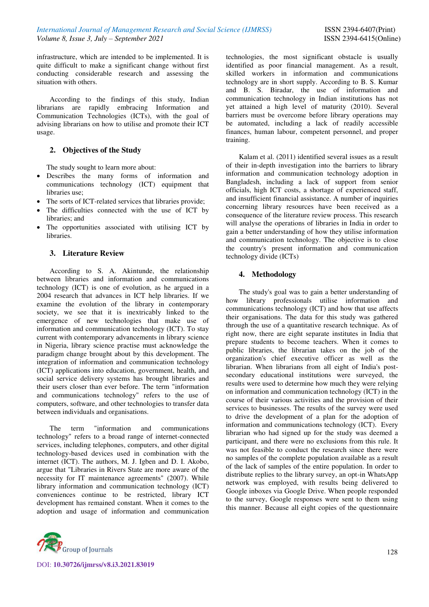infrastructure, which are intended to be implemented. It is quite difficult to make a significant change without first conducting considerable research and assessing the situation with others.

According to the findings of this study, Indian librarians are rapidly embracing Information and Communication Technologies (ICTs), with the goal of advising librarians on how to utilise and promote their ICT usage.

# **2. Objectives of the Study**

The study sought to learn more about:

- Describes the many forms of information and communications technology (ICT) equipment that libraries use;
- The sorts of ICT-related services that libraries provide;
- The difficulties connected with the use of ICT by libraries; and
- The opportunities associated with utilising ICT by libraries.

## **3. Literature Review**

According to S. A. Akintunde, the relationship between libraries and information and communications technology (ICT) is one of evolution, as he argued in a 2004 research that advances in ICT help libraries. If we examine the evolution of the library in contemporary society, we see that it is inextricably linked to the emergence of new technologies that make use of information and communication technology (ICT). To stay current with contemporary advancements in library science in Nigeria, library science practise must acknowledge the paradigm change brought about by this development. The integration of information and communication technology (ICT) applications into education, government, health, and social service delivery systems has brought libraries and their users closer than ever before. The term "information and communications technology" refers to the use of computers, software, and other technologies to transfer data between individuals and organisations.

The term "information and communications technology" refers to a broad range of internet-connected services, including telephones, computers, and other digital technology-based devices used in combination with the internet (ICT). The authors, M. J. Igben and D. I. Akobo, argue that "Libraries in Rivers State are more aware of the necessity for IT maintenance agreements" (2007). While library information and communication technology (ICT) conveniences continue to be restricted, library ICT development has remained constant. When it comes to the adoption and usage of information and communication



DOI: **10.30726/ijmrss/v8.i3.2021.83019**

technologies, the most significant obstacle is usually identified as poor financial management. As a result, skilled workers in information and communications technology are in short supply. According to B. S. Kumar and B. S. Biradar, the use of information and communication technology in Indian institutions has not yet attained a high level of maturity (2010). Several barriers must be overcome before library operations may be automated, including a lack of readily accessible finances, human labour, competent personnel, and proper training.

Kalam et al. (2011) identified several issues as a result of their in-depth investigation into the barriers to library information and communication technology adoption in Bangladesh, including a lack of support from senior officials, high ICT costs, a shortage of experienced staff, and insufficient financial assistance. A number of inquiries concerning library resources have been received as a consequence of the literature review process. This research will analyse the operations of libraries in India in order to gain a better understanding of how they utilise information and communication technology. The objective is to close the country's present information and communication technology divide (ICTs)

### **4. Methodology**

The study's goal was to gain a better understanding of how library professionals utilise information and communications technology (ICT) and how that use affects their organisations. The data for this study was gathered through the use of a quantitative research technique. As of right now, there are eight separate institutes in India that prepare students to become teachers. When it comes to public libraries, the librarian takes on the job of the organization's chief executive officer as well as the librarian. When librarians from all eight of India's postsecondary educational institutions were surveyed, the results were used to determine how much they were relying on information and communication technology (ICT) in the course of their various activities and the provision of their services to businesses. The results of the survey were used to drive the development of a plan for the adoption of information and communications technology (ICT). Every librarian who had signed up for the study was deemed a participant, and there were no exclusions from this rule. It was not feasible to conduct the research since there were no samples of the complete population available as a result of the lack of samples of the entire population. In order to distribute replies to the library survey, an opt-in WhatsApp network was employed, with results being delivered to Google inboxes via Google Drive. When people responded to the survey, Google responses were sent to them using this manner. Because all eight copies of the questionnaire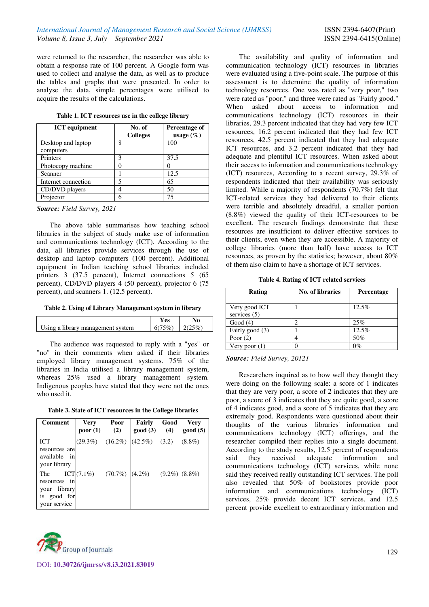were returned to the researcher, the researcher was able to obtain a response rate of 100 percent. A Google form was used to collect and analyse the data, as well as to produce the tables and graphs that were presented. In order to analyse the data, simple percentages were utilised to acquire the results of the calculations.

| <b>ICT</b> equipment | No. of<br><b>Colleges</b> | Percentage of<br>usage $(\%)$ |
|----------------------|---------------------------|-------------------------------|
| Desktop and laptop   | 8                         | 100                           |
| computers            |                           |                               |
| Printers             | 3                         | 37.5                          |
| Photocopy machine    |                           |                               |
| Scanner              |                           | 12.5                          |
| Internet connection  |                           | 65                            |
| CD/DVD players       |                           | 50                            |
| Projector            |                           | 75                            |

**Table 1. ICT resources use in the college library** 

*Source: Field Survey, 2021* 

The above table summarises how teaching school libraries in the subject of study make use of information and communications technology (ICT). According to the data, all libraries provide services through the use of desktop and laptop computers (100 percent). Additional equipment in Indian teaching school libraries included printers 3 (37.5 percent), Internet connections 5 (65 percent), CD/DVD players 4 (50 percent), projector 6 (75 percent), and scanners 1. (12.5 percent).

**Table 2. Using of Library Management system in library** 

|                                   | Y es |  |
|-----------------------------------|------|--|
| Using a library management system |      |  |

The audience was requested to reply with a "yes" or "no" in their comments when asked if their libraries employed library management systems. 75% of the libraries in India utilised a library management system, whereas 25% used a library management system. Indigenous peoples have stated that they were not the ones who used it.

| Comment                                                            | <b>Very</b><br>poor(1) | Poor<br>(2) | Fairly<br>good(3) | Good<br>(4)       | <b>Very</b><br>good(5) |
|--------------------------------------------------------------------|------------------------|-------------|-------------------|-------------------|------------------------|
| ICT<br>resources are<br>available in<br>your library               | $(29.3\%)$             | $(16.2\%)$  | $(42.5\%)$        | (3.2)             | $(8.8\%)$              |
| The<br>resources in<br>your library<br>is good for<br>your service | $ICT(7.1\%)$           | $(70.7\%)$  | $(4.2\%)$         | $(9.2\%) (8.8\%)$ |                        |



The availability and quality of information and communication technology (ICT) resources in libraries were evaluated using a five-point scale. The purpose of this assessment is to determine the quality of information technology resources. One was rated as "very poor," two were rated as "poor," and three were rated as "Fairly good." When asked about access to information and communications technology (ICT) resources in their libraries, 29.3 percent indicated that they had very few ICT resources, 16.2 percent indicated that they had few ICT resources, 42.5 percent indicated that they had adequate ICT resources, and 3.2 percent indicated that they had adequate and plentiful ICT resources. When asked about their access to information and communications technology (ICT) resources, According to a recent survey, 29.3% of respondents indicated that their availability was seriously limited. While a majority of respondents (70.7%) felt that ICT-related services they had delivered to their clients were terrible and absolutely dreadful, a smaller portion (8.8%) viewed the quality of their ICT-resources to be excellent. The research findings demonstrate that these resources are insufficient to deliver effective services to their clients, even when they are accessible. A majority of college libraries (more than half) have access to ICT resources, as proven by the statistics; however, about 80% of them also claim to have a shortage of ICT services.

**Table 4. Rating of ICT related services** 

| Rating                          | No. of libraries | Percentage |
|---------------------------------|------------------|------------|
| Very good ICT<br>services $(5)$ |                  | 12.5%      |
| Good $(4)$                      | っ                | 25%        |
| Fairly good (3)                 |                  | 12.5%      |
| Poor $(2)$                      |                  | 50%        |
| Very poor $(1)$                 |                  | $0\%$      |

*Source: Field Survey, 20121* 

Researchers inquired as to how well they thought they were doing on the following scale: a score of 1 indicates that they are very poor, a score of 2 indicates that they are poor, a score of 3 indicates that they are quite good, a score of 4 indicates good, and a score of 5 indicates that they are extremely good. Respondents were questioned about their thoughts of the various libraries' information and communications technology (ICT) offerings, and the researcher compiled their replies into a single document. According to the study results, 12.5 percent of respondents said they received adequate information and communications technology (ICT) services, while none said they received really outstanding ICT services. The poll also revealed that 50% of bookstores provide poor information and communications technology (ICT) services, 25% provide decent ICT services, and 12.5 percent provide excellent to extraordinary information and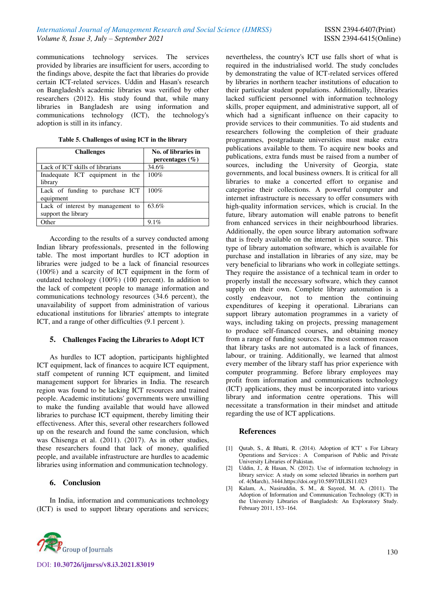communications technology services. The services provided by libraries are insufficient for users, according to the findings above, despite the fact that libraries do provide certain ICT-related services. Uddin and Hasan's research on Bangladesh's academic libraries was verified by other researchers (2012). His study found that, while many libraries in Bangladesh are using information and communications technology (ICT), the technology's adoption is still in its infancy.

|  | Table 5. Challenges of using ICT in the library |  |  |  |
|--|-------------------------------------------------|--|--|--|
|--|-------------------------------------------------|--|--|--|

| <b>Challenges</b>                                        | No. of libraries in<br>percentages $(\% )$ |
|----------------------------------------------------------|--------------------------------------------|
| Lack of ICT skills of librarians                         | 34.6%                                      |
| Inadequate ICT equipment in the<br>library               | 100%                                       |
| Lack of funding to purchase ICT<br>equipment             | 100%                                       |
| Lack of interest by management to<br>support the library | 63.6%                                      |
| Other                                                    | $9.1\%$                                    |

According to the results of a survey conducted among Indian library professionals, presented in the following table. The most important hurdles to ICT adoption in libraries were judged to be a lack of financial resources (100%) and a scarcity of ICT equipment in the form of outdated technology (100%) (100 percent). In addition to the lack of competent people to manage information and communications technology resources (34.6 percent), the unavailability of support from administration of various educational institutions for libraries' attempts to integrate ICT, and a range of other difficulties (9.1 percent ).

#### **5. Challenges Facing the Libraries to Adopt ICT**

As hurdles to ICT adoption, participants highlighted ICT equipment, lack of finances to acquire ICT equipment, staff competent of running ICT equipment, and limited management support for libraries in India. The research region was found to be lacking ICT resources and trained people. Academic institutions' governments were unwilling to make the funding available that would have allowed libraries to purchase ICT equipment, thereby limiting their effectiveness. After this, several other researchers followed up on the research and found the same conclusion, which was Chisenga et al. (2011). (2017). As in other studies, these researchers found that lack of money, qualified people, and available infrastructure are hurdles to academic libraries using information and communication technology.

### **6. Conclusion**

In India, information and communications technology (ICT) is used to support library operations and services;



nevertheless, the country's ICT use falls short of what is required in the industrialised world. The study concludes by demonstrating the value of ICT-related services offered by libraries in northern teacher institutions of education to their particular student populations. Additionally, libraries lacked sufficient personnel with information technology skills, proper equipment, and administrative support, all of which had a significant influence on their capacity to provide services to their communities. To aid students and researchers following the completion of their graduate programmes, postgraduate universities must make extra publications available to them. To acquire new books and publications, extra funds must be raised from a number of sources, including the University of Georgia, state governments, and local business owners. It is critical for all libraries to make a concerted effort to organise and categorise their collections. A powerful computer and internet infrastructure is necessary to offer consumers with high-quality information services, which is crucial. In the future, library automation will enable patrons to benefit from enhanced services in their neighbourhood libraries. Additionally, the open source library automation software that is freely available on the internet is open source. This type of library automation software, which is available for purchase and installation in libraries of any size, may be very beneficial to librarians who work in collegiate settings. They require the assistance of a technical team in order to properly install the necessary software, which they cannot supply on their own. Complete library automation is a costly endeavour, not to mention the continuing expenditures of keeping it operational. Librarians can support library automation programmes in a variety of ways, including taking on projects, pressing management to produce self-financed courses, and obtaining money from a range of funding sources. The most common reason that library tasks are not automated is a lack of finances, labour, or training. Additionally, we learned that almost every member of the library staff has prior experience with computer programming. Before library employees may profit from information and communications technology (ICT) applications, they must be incorporated into various library and information centre operations. This will necessitate a transformation in their mindset and attitude regarding the use of ICT applications.

#### **References**

- [1] Qutab, S., & Bhatti, R. (2014). Adoption of ICT' s For Library Operations and Services : A Comparison of Public and Private University Libraries of Pakistan.
- [2] Uddin, J., & Hasan, N. (2012). Use of information technology in library service: A study on some selected libraries in northern part of. 4(March), 3444.https://doi.org/10.5897/IJLIS11.023
- [3] Kalam, A., Nasiruddin, S. M., & Sayeed, M. A. (2011). The Adoption of Information and Communication Technology (ICT) in the University Libraries of Bangladesh: An Exploratory Study. February 2011, 153–164.